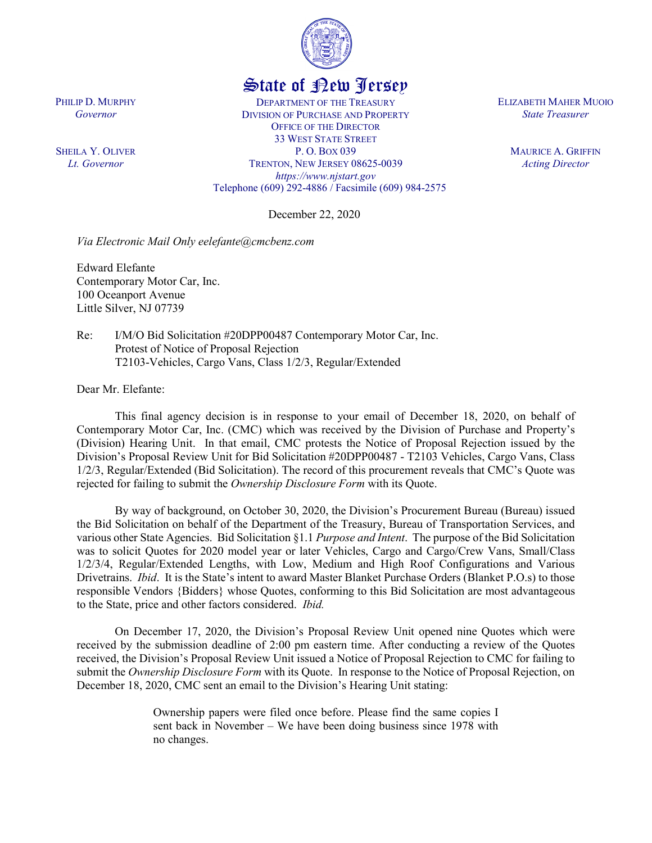

## State of New Jersey

DEPARTMENT OF THE TREASURY DIVISION OF PURCHASE AND PROPERTY OFFICE OF THE DIRECTOR 33 WEST STATE STREET P. O. BOX 039 TRENTON, NEW JERSEY 08625-0039 *https://www.njstart.gov* Telephone (609) 292-4886 / Facsimile (609) 984-2575

December 22, 2020

*Via Electronic Mail Only eelefante@cmcbenz.com*

Edward Elefante Contemporary Motor Car, Inc. 100 Oceanport Avenue Little Silver, NJ 07739

Re: I/M/O Bid Solicitation #20DPP00487 Contemporary Motor Car, Inc. Protest of Notice of Proposal Rejection T2103-Vehicles, Cargo Vans, Class 1/2/3, Regular/Extended

Dear Mr. Elefante:

PHILIP D. MURPHY *Governor*

SHEILA Y. OLIVER *Lt. Governor*

> This final agency decision is in response to your email of December 18, 2020, on behalf of Contemporary Motor Car, Inc. (CMC) which was received by the Division of Purchase and Property's (Division) Hearing Unit. In that email, CMC protests the Notice of Proposal Rejection issued by the Division's Proposal Review Unit for Bid Solicitation #20DPP00487 - T2103 Vehicles, Cargo Vans, Class 1/2/3, Regular/Extended (Bid Solicitation). The record of this procurement reveals that CMC's Quote was rejected for failing to submit the *Ownership Disclosure Form* with its Quote.

> By way of background, on October 30, 2020, the Division's Procurement Bureau (Bureau) issued the Bid Solicitation on behalf of the Department of the Treasury, Bureau of Transportation Services, and various other State Agencies. Bid Solicitation §1.1 *Purpose and Intent*. The purpose of the Bid Solicitation was to solicit Quotes for 2020 model year or later Vehicles, Cargo and Cargo/Crew Vans, Small/Class 1/2/3/4, Regular/Extended Lengths, with Low, Medium and High Roof Configurations and Various Drivetrains. *Ibid*. It is the State's intent to award Master Blanket Purchase Orders (Blanket P.O.s) to those responsible Vendors {Bidders} whose Quotes, conforming to this Bid Solicitation are most advantageous to the State, price and other factors considered. *Ibid.*

> On December 17, 2020, the Division's Proposal Review Unit opened nine Quotes which were received by the submission deadline of 2:00 pm eastern time. After conducting a review of the Quotes received, the Division's Proposal Review Unit issued a Notice of Proposal Rejection to CMC for failing to submit the *Ownership Disclosure Form* with its Quote. In response to the Notice of Proposal Rejection, on December 18, 2020, CMC sent an email to the Division's Hearing Unit stating:

> > Ownership papers were filed once before. Please find the same copies I sent back in November – We have been doing business since 1978 with no changes.

ELIZABETH MAHER MUOIO *State Treasurer*

> MAURICE A. GRIFFIN *Acting Director*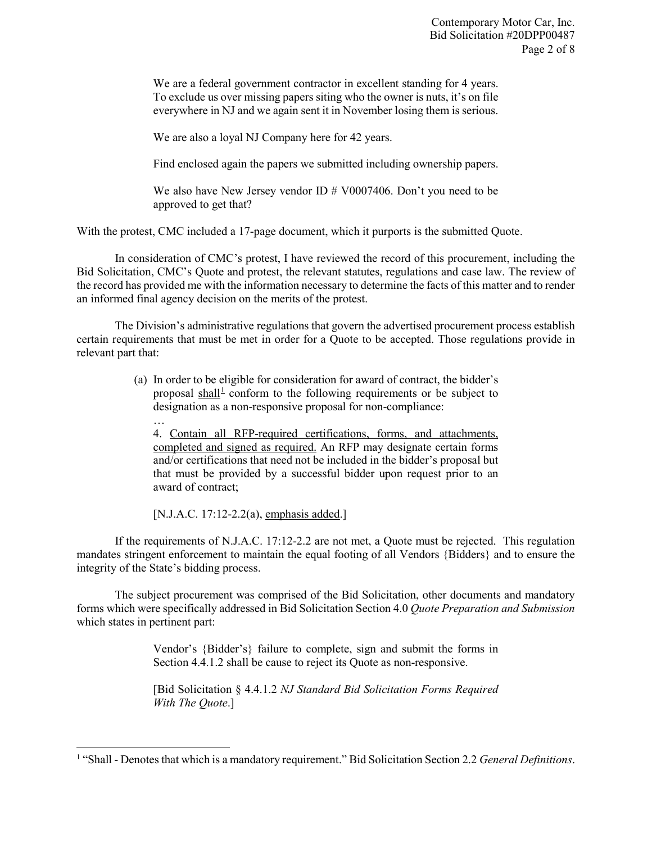We are a federal government contractor in excellent standing for 4 years. To exclude us over missing papers siting who the owner is nuts, it's on file everywhere in NJ and we again sent it in November losing them is serious.

We are also a loyal NJ Company here for 42 years.

Find enclosed again the papers we submitted including ownership papers.

We also have New Jersey vendor ID # V0007406. Don't you need to be approved to get that?

With the protest, CMC included a 17-page document, which it purports is the submitted Quote.

In consideration of CMC's protest, I have reviewed the record of this procurement, including the Bid Solicitation, CMC's Quote and protest, the relevant statutes, regulations and case law. The review of the record has provided me with the information necessary to determine the facts of this matter and to render an informed final agency decision on the merits of the protest.

The Division's administrative regulations that govern the advertised procurement process establish certain requirements that must be met in order for a Quote to be accepted. Those regulations provide in relevant part that:

> (a) In order to be eligible for consideration for award of contract, the bidder's proposal shall<sup> $\perp$ </sup> conform to the following requirements or be subject to designation as a non-responsive proposal for non-compliance:

4. Contain all RFP-required certifications, forms, and attachments, completed and signed as required. An RFP may designate certain forms and/or certifications that need not be included in the bidder's proposal but that must be provided by a successful bidder upon request prior to an award of contract;

[N.J.A.C. 17:12-2.2(a), emphasis added.]

…

l

If the requirements of N.J.A.C. 17:12-2.2 are not met, a Quote must be rejected. This regulation mandates stringent enforcement to maintain the equal footing of all Vendors {Bidders} and to ensure the integrity of the State's bidding process.

The subject procurement was comprised of the Bid Solicitation, other documents and mandatory forms which were specifically addressed in Bid Solicitation Section 4.0 *Quote Preparation and Submission* which states in pertinent part:

> Vendor's {Bidder's} failure to complete, sign and submit the forms in Section 4.4.1.2 shall be cause to reject its Quote as non-responsive.

> [Bid Solicitation § 4.4.1.2 *NJ Standard Bid Solicitation Forms Required With The Quote*.]

<span id="page-1-0"></span><sup>1</sup> "Shall - Denotes that which is a mandatory requirement." Bid Solicitation Section 2.2 *General Definitions*.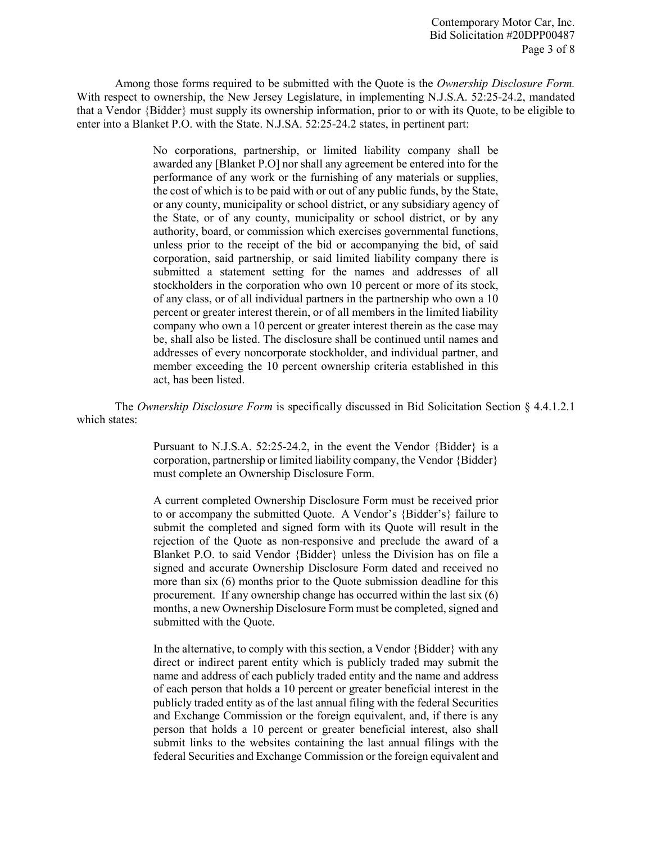Among those forms required to be submitted with the Quote is the *Ownership Disclosure Form.*  With respect to ownership, the New Jersey Legislature, in implementing N.J.S.A. 52:25-24.2, mandated that a Vendor {Bidder} must supply its ownership information, prior to or with its Quote, to be eligible to enter into a Blanket P.O. with the State. N.J.SA. 52:25-24.2 states, in pertinent part:

> No corporations, partnership, or limited liability company shall be awarded any [Blanket P.O] nor shall any agreement be entered into for the performance of any work or the furnishing of any materials or supplies, the cost of which is to be paid with or out of any public funds, by the State, or any county, municipality or school district, or any subsidiary agency of the State, or of any county, municipality or school district, or by any authority, board, or commission which exercises governmental functions, unless prior to the receipt of the bid or accompanying the bid, of said corporation, said partnership, or said limited liability company there is submitted a statement setting for the names and addresses of all stockholders in the corporation who own 10 percent or more of its stock, of any class, or of all individual partners in the partnership who own a 10 percent or greater interest therein, or of all members in the limited liability company who own a 10 percent or greater interest therein as the case may be, shall also be listed. The disclosure shall be continued until names and addresses of every noncorporate stockholder, and individual partner, and member exceeding the 10 percent ownership criteria established in this act, has been listed.

The *Ownership Disclosure Form* is specifically discussed in Bid Solicitation Section § 4.4.1.2.1 which states:

> Pursuant to N.J.S.A. 52:25-24.2, in the event the Vendor {Bidder} is a corporation, partnership or limited liability company, the Vendor {Bidder} must complete an Ownership Disclosure Form.

> A current completed Ownership Disclosure Form must be received prior to or accompany the submitted Quote. A Vendor's {Bidder's} failure to submit the completed and signed form with its Quote will result in the rejection of the Quote as non-responsive and preclude the award of a Blanket P.O. to said Vendor {Bidder} unless the Division has on file a signed and accurate Ownership Disclosure Form dated and received no more than six (6) months prior to the Quote submission deadline for this procurement. If any ownership change has occurred within the last six (6) months, a new Ownership Disclosure Form must be completed, signed and submitted with the Quote.

> In the alternative, to comply with this section, a Vendor {Bidder} with any direct or indirect parent entity which is publicly traded may submit the name and address of each publicly traded entity and the name and address of each person that holds a 10 percent or greater beneficial interest in the publicly traded entity as of the last annual filing with the federal Securities and Exchange Commission or the foreign equivalent, and, if there is any person that holds a 10 percent or greater beneficial interest, also shall submit links to the websites containing the last annual filings with the federal Securities and Exchange Commission or the foreign equivalent and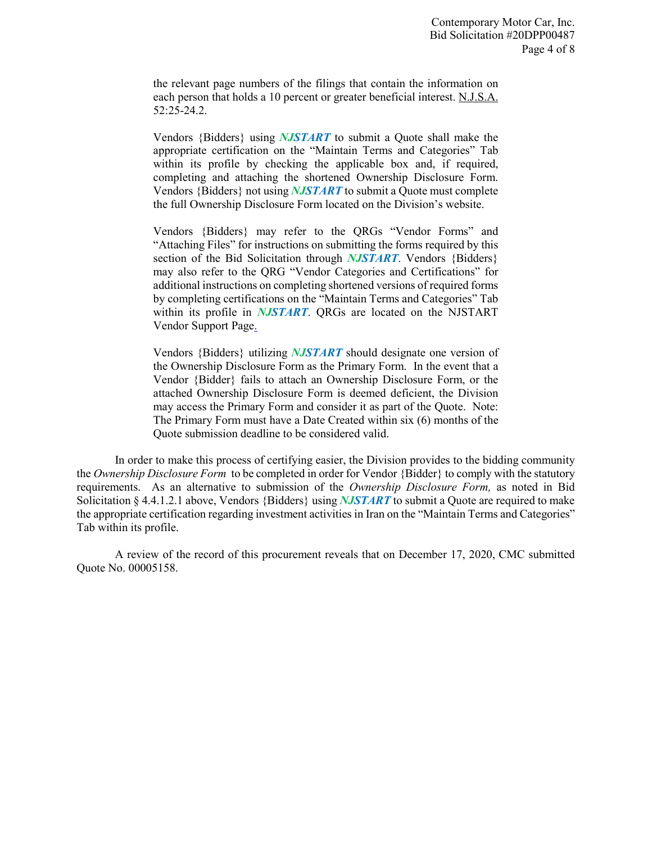the relevant page numbers of the filings that contain the information on each person that holds a 10 percent or greater beneficial interest. N.J.S.A. 52:25-24.2.

Vendors {Bidders} using *NJSTART* to submit a Quote shall make the appropriate certification on the "Maintain Terms and Categories" Tab within its profile by checking the applicable box and, if required, completing and attaching the shortened Ownership Disclosure Form. Vendors {Bidders} not using *NJSTART* to submit a Quote must complete the full Ownership Disclosure Form located on the Division's website.

Vendors {Bidders} may refer to the QRGs "Vendor Forms" and "Attaching Files" for instructions on submitting the forms required by this section of the Bid Solicitation through *NJSTART*. Vendors {Bidders} may also refer to the QRG "Vendor Categories and Certifications" for additional instructions on completing shortened versions of required forms by completing certifications on the "Maintain Terms and Categories" Tab within its profile in *NJSTART*. QRGs are located on the NJSTART Vendor Support Page.

Vendors {Bidders} utilizing *NJSTART* should designate one version of the Ownership Disclosure Form as the Primary Form. In the event that a Vendor {Bidder} fails to attach an Ownership Disclosure Form, or the attached Ownership Disclosure Form is deemed deficient, the Division may access the Primary Form and consider it as part of the Quote. Note: The Primary Form must have a Date Created within six (6) months of the Quote submission deadline to be considered valid.

In order to make this process of certifying easier, the Division provides to the bidding community the *Ownership Disclosure Form* to be completed in order for Vendor {Bidder} to comply with the statutory requirements. As an alternative to submission of the *Ownership Disclosure Form,* as noted in Bid Solicitation § 4.4.1.2.1 above, Vendors {Bidders} using *NJSTART* to submit a Quote are required to make the appropriate certification regarding investment activities in Iran on the "Maintain Terms and Categories" Tab within its profile.

A review of the record of this procurement reveals that on December 17, 2020, CMC submitted Quote No. 00005158.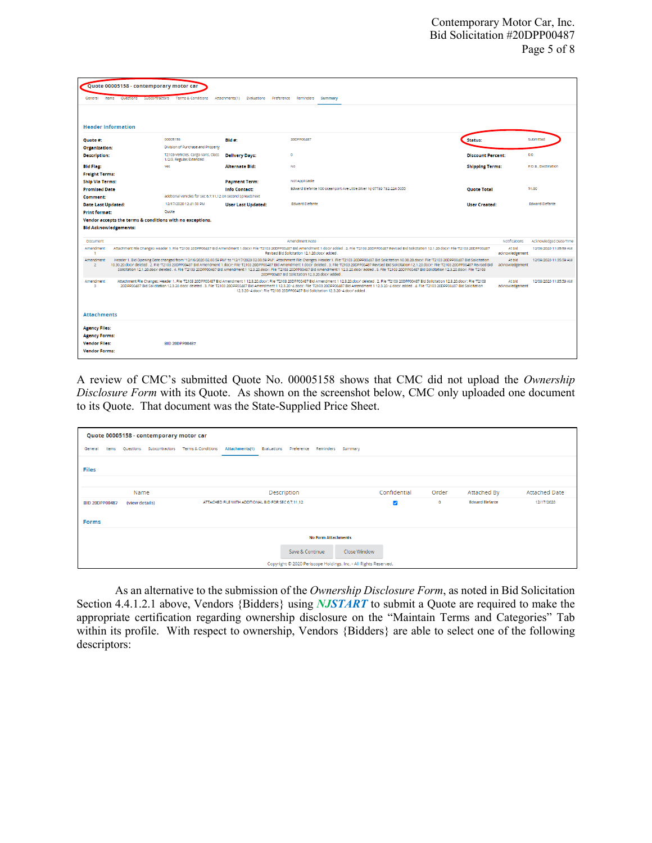|                                                                                                                                                                                                                                                                                                                                                                                                                                                                                                                                                                                                                 | Quote 00005158 - contemporary motor car                                                                                                                                                                                                                                                                                                                                                                                                                                                                                                                                                                                                                                                                                                                                                                    |                                                              |                                             |                                                                       |                          |               |                        |
|-----------------------------------------------------------------------------------------------------------------------------------------------------------------------------------------------------------------------------------------------------------------------------------------------------------------------------------------------------------------------------------------------------------------------------------------------------------------------------------------------------------------------------------------------------------------------------------------------------------------|------------------------------------------------------------------------------------------------------------------------------------------------------------------------------------------------------------------------------------------------------------------------------------------------------------------------------------------------------------------------------------------------------------------------------------------------------------------------------------------------------------------------------------------------------------------------------------------------------------------------------------------------------------------------------------------------------------------------------------------------------------------------------------------------------------|--------------------------------------------------------------|---------------------------------------------|-----------------------------------------------------------------------|--------------------------|---------------|------------------------|
| General<br>Items                                                                                                                                                                                                                                                                                                                                                                                                                                                                                                                                                                                                | <b>Ouestions</b>                                                                                                                                                                                                                                                                                                                                                                                                                                                                                                                                                                                                                                                                                                                                                                                           | Subcontractors Terms & Conditions                            | Attachments(1)<br>Preference<br>Evaluations | Reminders<br>Summary                                                  |                          |               |                        |
|                                                                                                                                                                                                                                                                                                                                                                                                                                                                                                                                                                                                                 |                                                                                                                                                                                                                                                                                                                                                                                                                                                                                                                                                                                                                                                                                                                                                                                                            |                                                              |                                             |                                                                       |                          |               |                        |
|                                                                                                                                                                                                                                                                                                                                                                                                                                                                                                                                                                                                                 |                                                                                                                                                                                                                                                                                                                                                                                                                                                                                                                                                                                                                                                                                                                                                                                                            |                                                              |                                             |                                                                       |                          |               |                        |
| <b>Header Information</b>                                                                                                                                                                                                                                                                                                                                                                                                                                                                                                                                                                                       |                                                                                                                                                                                                                                                                                                                                                                                                                                                                                                                                                                                                                                                                                                                                                                                                            |                                                              |                                             |                                                                       |                          |               |                        |
| Ouote #:                                                                                                                                                                                                                                                                                                                                                                                                                                                                                                                                                                                                        |                                                                                                                                                                                                                                                                                                                                                                                                                                                                                                                                                                                                                                                                                                                                                                                                            | 00005158                                                     | Bld #:                                      | 20DPP00487                                                            | Status:                  |               | Submitted              |
| Organization:                                                                                                                                                                                                                                                                                                                                                                                                                                                                                                                                                                                                   |                                                                                                                                                                                                                                                                                                                                                                                                                                                                                                                                                                                                                                                                                                                                                                                                            | Division of Purchase and Property                            |                                             |                                                                       |                          |               |                        |
| <b>Description:</b>                                                                                                                                                                                                                                                                                                                                                                                                                                                                                                                                                                                             |                                                                                                                                                                                                                                                                                                                                                                                                                                                                                                                                                                                                                                                                                                                                                                                                            | T2103-Vehicles, Cargo Vans, Class<br>1/2/3, Regular/Extended | <b>Delivery Days:</b>                       | $\circ$                                                               | <b>Discount Percent:</b> |               | 0.0                    |
| <b>Bld Flag:</b>                                                                                                                                                                                                                                                                                                                                                                                                                                                                                                                                                                                                |                                                                                                                                                                                                                                                                                                                                                                                                                                                                                                                                                                                                                                                                                                                                                                                                            | <b>Yes</b>                                                   | <b>Alternate Bld:</b>                       | <b>No</b>                                                             | <b>Shipping Terms:</b>   |               | F.O.B., Destination    |
| <b>Freight Terms:</b>                                                                                                                                                                                                                                                                                                                                                                                                                                                                                                                                                                                           |                                                                                                                                                                                                                                                                                                                                                                                                                                                                                                                                                                                                                                                                                                                                                                                                            |                                                              |                                             |                                                                       |                          |               |                        |
| <b>Ship Via Terms:</b>                                                                                                                                                                                                                                                                                                                                                                                                                                                                                                                                                                                          |                                                                                                                                                                                                                                                                                                                                                                                                                                                                                                                                                                                                                                                                                                                                                                                                            |                                                              | <b>Payment Term:</b>                        | Not Applicable                                                        |                          |               |                        |
| <b>Promised Date</b>                                                                                                                                                                                                                                                                                                                                                                                                                                                                                                                                                                                            |                                                                                                                                                                                                                                                                                                                                                                                                                                                                                                                                                                                                                                                                                                                                                                                                            |                                                              | <b>Info Contact:</b>                        | Edward Elefante 100 oceanport Ave Little Silver NJ 07739 732-224-5055 | <b>Ouote Total</b>       |               | \$1.00                 |
| Comment:                                                                                                                                                                                                                                                                                                                                                                                                                                                                                                                                                                                                        |                                                                                                                                                                                                                                                                                                                                                                                                                                                                                                                                                                                                                                                                                                                                                                                                            | addtional vehicles for sec 6.7.11.12 on second spreadsheet   |                                             |                                                                       |                          |               |                        |
| <b>Date Last Updated:</b>                                                                                                                                                                                                                                                                                                                                                                                                                                                                                                                                                                                       |                                                                                                                                                                                                                                                                                                                                                                                                                                                                                                                                                                                                                                                                                                                                                                                                            | 12/17/2020 12:41:50 PM                                       | <b>User Last Updated:</b>                   | <b>Edward Elefante</b>                                                | <b>User Created:</b>     |               | <b>Edward Elefante</b> |
| <b>Print format:</b>                                                                                                                                                                                                                                                                                                                                                                                                                                                                                                                                                                                            |                                                                                                                                                                                                                                                                                                                                                                                                                                                                                                                                                                                                                                                                                                                                                                                                            | Ouote                                                        |                                             |                                                                       |                          |               |                        |
|                                                                                                                                                                                                                                                                                                                                                                                                                                                                                                                                                                                                                 |                                                                                                                                                                                                                                                                                                                                                                                                                                                                                                                                                                                                                                                                                                                                                                                                            | Vendor accepts the terms & conditions with no exceptions.    |                                             |                                                                       |                          |               |                        |
| <b>Bid Acknowledgements:</b>                                                                                                                                                                                                                                                                                                                                                                                                                                                                                                                                                                                    |                                                                                                                                                                                                                                                                                                                                                                                                                                                                                                                                                                                                                                                                                                                                                                                                            |                                                              |                                             |                                                                       |                          |               |                        |
| Document                                                                                                                                                                                                                                                                                                                                                                                                                                                                                                                                                                                                        |                                                                                                                                                                                                                                                                                                                                                                                                                                                                                                                                                                                                                                                                                                                                                                                                            |                                                              |                                             | Amendment Note                                                        |                          | Notifications | Acknowledged Date/Time |
| Amendment                                                                                                                                                                                                                                                                                                                                                                                                                                                                                                                                                                                                       | Attachment File Changes: Header 1. File T2103 20DPP00487 Bid Amendment 1.docx: File 'T2103 20DPP00487 Bid Amendment 1.docx' added . 2. File 'T2103 20DPP00487 Revised Bid Solicitation 12.1.20.docx: File 'T2103 20DPP00487<br>At bld<br>12/09/2020 11:35:59 AM<br>Revised Bid Solicitation 12.1.20.docx' added<br>acknowledgement                                                                                                                                                                                                                                                                                                                                                                                                                                                                         |                                                              |                                             |                                                                       |                          |               |                        |
| Amendment<br>$\overline{2}$                                                                                                                                                                                                                                                                                                                                                                                                                                                                                                                                                                                     | At bld<br>Header 1. Bid Opening Date changed from "12/16/2020 02:00:59 PM" to "12/17/2020 02:00:59 PM". Attachment File Changes: Header 1. File 'T2103 20DPP00487 Bid Solicitation 10.30.20.docx': File 'T2103 20DPP00487 Bid Solicitati<br>12/09/2020 11:35:59 AM<br>10.30.20.docx' deleted . 2. File 'T2103 20DPP00487 Bild Amendment 1.docx': File 'T2103 20DPP00487 Bid Amendment 1.docx' deleted . 3. File 'T2103 20DPP00487 Revised Bid Solicitation 12.1.20.docx': File 'T2103 20DPP00487 Rev<br>acknowledgement<br>Solicitation 12.1.20.docy' deleted . 4. Rie 'T2103 20DPP00487 Bid Amendment 1 12.3.20.docy': Rie 'T2103 20DPP00487 Bid Amendment 1 12.3.20.docy' added . 5. Rie 'T2103 20DPP00487 Bid Solicitation 12.3.20.docy': Rie 'T2103<br>20DPP00487 Bld Solicitation 12.3.20.docx' added |                                                              |                                             |                                                                       |                          |               |                        |
| At bld<br>Amendment<br>Attachment File Changes: Header 1. File T2103 20DPP00487 Bid Amendment 112.3.20.docx: File T2103 20DPP00487 Bid Amendment 112.3.20.docx: deleted . 2. File T2103 20DPP00487 Bid Solicitation 12.3.20.docx: File T2103<br>12/09/2020 11:35:59 AM<br>20DPP00487 Bid Solicitation 12.3.20.docx deleted . 3. File 'T2103 20DPP00487 Bid Amendment 1 12.3.20~4.docx File 'T2103 20DPP00487 Bid Amendment 1 12.3.20~4.docx added . 4. File 'T2103 20DPP00487 Bid Solicitation<br>acknowledgement<br><b>B</b><br>12.3.20~4.docx': File 'T2103 20DPP00487 Bid Solicitation 12.3.20~4.docx' added |                                                                                                                                                                                                                                                                                                                                                                                                                                                                                                                                                                                                                                                                                                                                                                                                            |                                                              |                                             |                                                                       |                          |               |                        |
| <b>Attachments</b>                                                                                                                                                                                                                                                                                                                                                                                                                                                                                                                                                                                              |                                                                                                                                                                                                                                                                                                                                                                                                                                                                                                                                                                                                                                                                                                                                                                                                            |                                                              |                                             |                                                                       |                          |               |                        |
| <b>Agency Files:</b>                                                                                                                                                                                                                                                                                                                                                                                                                                                                                                                                                                                            |                                                                                                                                                                                                                                                                                                                                                                                                                                                                                                                                                                                                                                                                                                                                                                                                            |                                                              |                                             |                                                                       |                          |               |                        |
| <b>Agency Forms:</b>                                                                                                                                                                                                                                                                                                                                                                                                                                                                                                                                                                                            |                                                                                                                                                                                                                                                                                                                                                                                                                                                                                                                                                                                                                                                                                                                                                                                                            |                                                              |                                             |                                                                       |                          |               |                        |
| <b>Vendor Files:</b>                                                                                                                                                                                                                                                                                                                                                                                                                                                                                                                                                                                            |                                                                                                                                                                                                                                                                                                                                                                                                                                                                                                                                                                                                                                                                                                                                                                                                            | <b>BID 20DPP00487</b>                                        |                                             |                                                                       |                          |               |                        |
| <b>Vendor Forms:</b>                                                                                                                                                                                                                                                                                                                                                                                                                                                                                                                                                                                            |                                                                                                                                                                                                                                                                                                                                                                                                                                                                                                                                                                                                                                                                                                                                                                                                            |                                                              |                                             |                                                                       |                          |               |                        |
|                                                                                                                                                                                                                                                                                                                                                                                                                                                                                                                                                                                                                 |                                                                                                                                                                                                                                                                                                                                                                                                                                                                                                                                                                                                                                                                                                                                                                                                            |                                                              |                                             |                                                                       |                          |               |                        |

A review of CMC's submitted Quote No. 00005158 shows that CMC did not upload the *Ownership Disclosure Form* with its Quote. As shown on the screenshot below, CMC only uploaded one document to its Quote. That document was the State-Supplied Price Sheet.

| Quote 00005158 - contemporary motor car |                                                                                                                 |  |                                                    |             |  |  |  |              |       |                        |                      |
|-----------------------------------------|-----------------------------------------------------------------------------------------------------------------|--|----------------------------------------------------|-------------|--|--|--|--------------|-------|------------------------|----------------------|
| General<br>Items                        | Attachments(1) Evaluations<br>Preference Reminders Summary<br>Terms & Conditions<br>Questions<br>Subcontractors |  |                                                    |             |  |  |  |              |       |                        |                      |
| <b>Files</b>                            |                                                                                                                 |  |                                                    |             |  |  |  |              |       |                        |                      |
|                                         |                                                                                                                 |  |                                                    |             |  |  |  |              |       |                        |                      |
|                                         | Name                                                                                                            |  |                                                    | Description |  |  |  | Confidential | Order | Attached By            | <b>Attached Date</b> |
| <b>BID 20DPP00487</b>                   | (view details)                                                                                                  |  | ATTACHED FILE WITH ADDTIONAL BID FOR SEC 6,7,11,12 |             |  |  |  | ✓            | ۰     | <b>Edward Elefante</b> | 12/17/2020           |
|                                         |                                                                                                                 |  |                                                    |             |  |  |  |              |       |                        |                      |
|                                         | <b>Forms</b>                                                                                                    |  |                                                    |             |  |  |  |              |       |                        |                      |
| <b>No Form Attachments</b>              |                                                                                                                 |  |                                                    |             |  |  |  |              |       |                        |                      |
|                                         | Save & Continue<br>Close Window                                                                                 |  |                                                    |             |  |  |  |              |       |                        |                      |
|                                         | Copyright © 2020 Periscope Holdings, Inc. - All Rights Reserved.                                                |  |                                                    |             |  |  |  |              |       |                        |                      |

As an alternative to the submission of the *Ownership Disclosure Form*, as noted in Bid Solicitation Section 4.4.1.2.1 above, Vendors {Bidders} using *NJSTART* to submit a Quote are required to make the appropriate certification regarding ownership disclosure on the "Maintain Terms and Categories" Tab within its profile. With respect to ownership, Vendors {Bidders} are able to select one of the following descriptors: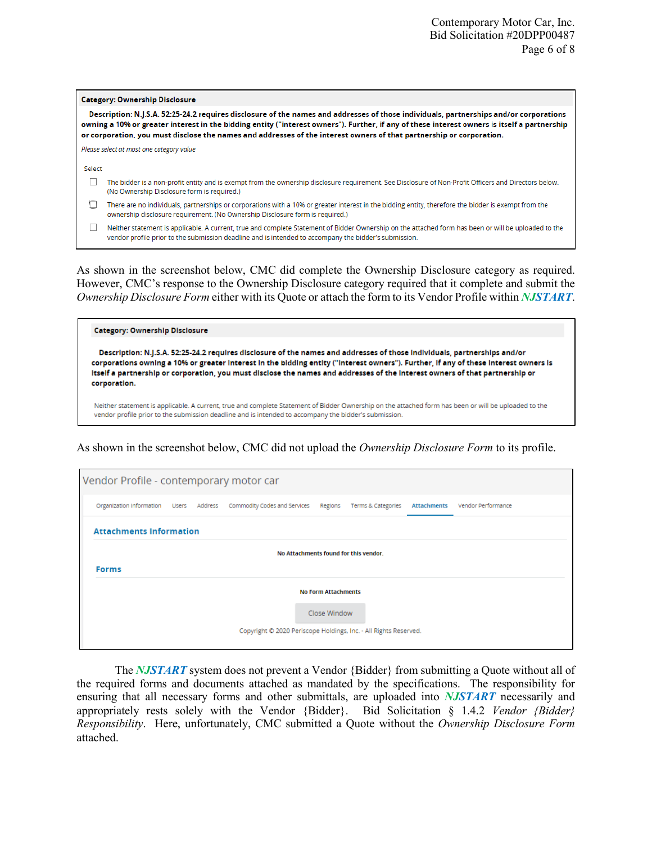## **Category: Ownership Disclosure**

Description: N.J.S.A. 52:25-24.2 requires disclosure of the names and addresses of those individuals, partnerships and/or corporations owning a 10% or greater interest in the bidding entity ("interest owners"). Further, if any of these interest owners is itself a partnership or corporation, you must disclose the names and addresses of the interest owners of that partnership or corporation.

Please select at most one category value

Select

- The bidder is a non-profit entity and is exempt from the ownership disclosure requirement. See Disclosure of Non-Profit Officers and Directors below. (No Ownership Disclosure form is required.)
- There are no individuals, partnerships or corporations with a 10% or greater interest in the bidding entity, therefore the bidder is exempt from the ownership disclosure requirement. (No Ownership Disclosure form is required.)
- □ Neither statement is applicable. A current, true and complete Statement of Bidder Ownership on the attached form has been or will be uploaded to the vendor profile prior to the submission deadline and is intended to accompany the bidder's submission.

As shown in the screenshot below, CMC did complete the Ownership Disclosure category as required. However, CMC's response to the Ownership Disclosure category required that it complete and submit the *Ownership Disclosure Form* either with its Quote or attach the form to its Vendor Profile within *NJSTART*.

## **Category: Ownership Disclosure**

Description: N.J.S.A. 52:25-24.2 requires disclosure of the names and addresses of those individuals, partnerships and/or corporations owning a 10% or greater interest in the bidding entity ("interest owners"). Further, if any of these interest owners is itself a partnership or corporation, you must disclose the names and addresses of the interest owners of that partnership or corporation.

Neither statement is applicable. A current, true and complete Statement of Bidder Ownership on the attached form has been or will be uploaded to the vendor profile prior to the submission deadline and is intended to accompany the bidder's submission.

As shown in the screenshot below, CMC did not upload the *Ownership Disclosure Form* to its profile.

|              | Vendor Profile - contemporary motor car                          |  |                                                                                                |  |  |                    |                    |  |
|--------------|------------------------------------------------------------------|--|------------------------------------------------------------------------------------------------|--|--|--------------------|--------------------|--|
|              |                                                                  |  | Organization Information Users Address Commodity Codes and Services Regions Terms & Categories |  |  | <b>Attachments</b> | Vendor Performance |  |
|              | <b>Attachments Information</b>                                   |  |                                                                                                |  |  |                    |                    |  |
|              | No Attachments found for this vendor.                            |  |                                                                                                |  |  |                    |                    |  |
| <b>Forms</b> |                                                                  |  |                                                                                                |  |  |                    |                    |  |
|              | <b>No Form Attachments</b>                                       |  |                                                                                                |  |  |                    |                    |  |
|              | Close Window                                                     |  |                                                                                                |  |  |                    |                    |  |
|              | Copyright © 2020 Periscope Holdings, Inc. - All Rights Reserved. |  |                                                                                                |  |  |                    |                    |  |

The *NJSTART* system does not prevent a Vendor {Bidder} from submitting a Quote without all of the required forms and documents attached as mandated by the specifications. The responsibility for ensuring that all necessary forms and other submittals, are uploaded into *NJSTART* necessarily and appropriately rests solely with the Vendor {Bidder}. Bid Solicitation § 1.4.2 *Vendor {Bidder} Responsibility*. Here, unfortunately, CMC submitted a Quote without the *Ownership Disclosure Form* attached.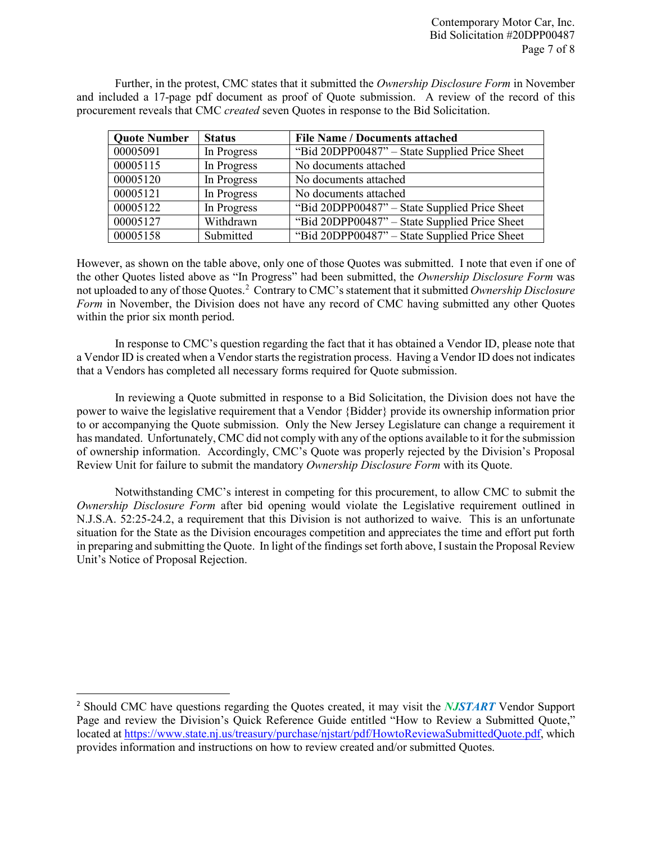Further, in the protest, CMC states that it submitted the *Ownership Disclosure Form* in November and included a 17-page pdf document as proof of Quote submission. A review of the record of this procurement reveals that CMC *created* seven Quotes in response to the Bid Solicitation.

| <b>Quote Number</b> | <b>Status</b> | <b>File Name / Documents attached</b>         |
|---------------------|---------------|-----------------------------------------------|
| 00005091            | In Progress   | "Bid 20DPP00487" - State Supplied Price Sheet |
| 00005115            | In Progress   | No documents attached                         |
| 00005120            | In Progress   | No documents attached                         |
| 00005121            | In Progress   | No documents attached                         |
| 00005122            | In Progress   | "Bid 20DPP00487" - State Supplied Price Sheet |
| 00005127            | Withdrawn     | "Bid 20DPP00487" - State Supplied Price Sheet |
| 00005158            | Submitted     | "Bid 20DPP00487" – State Supplied Price Sheet |

However, as shown on the table above, only one of those Quotes was submitted. I note that even if one of the other Quotes listed above as "In Progress" had been submitted, the *Ownership Disclosure Form* was not uploaded to any of those Quotes.[2](#page-6-0) Contrary to CMC's statement that it submitted *Ownership Disclosure Form* in November, the Division does not have any record of CMC having submitted any other Quotes within the prior six month period.

In response to CMC's question regarding the fact that it has obtained a Vendor ID, please note that a Vendor ID is created when a Vendor starts the registration process. Having a Vendor ID does not indicates that a Vendors has completed all necessary forms required for Quote submission.

In reviewing a Quote submitted in response to a Bid Solicitation, the Division does not have the power to waive the legislative requirement that a Vendor {Bidder} provide its ownership information prior to or accompanying the Quote submission. Only the New Jersey Legislature can change a requirement it has mandated. Unfortunately, CMC did not comply with any of the options available to it for the submission of ownership information. Accordingly, CMC's Quote was properly rejected by the Division's Proposal Review Unit for failure to submit the mandatory *Ownership Disclosure Form* with its Quote.

Notwithstanding CMC's interest in competing for this procurement, to allow CMC to submit the *Ownership Disclosure Form* after bid opening would violate the Legislative requirement outlined in N.J.S.A. 52:25-24.2, a requirement that this Division is not authorized to waive. This is an unfortunate situation for the State as the Division encourages competition and appreciates the time and effort put forth in preparing and submitting the Quote. In light of the findings set forth above, I sustain the Proposal Review Unit's Notice of Proposal Rejection.

<span id="page-6-0"></span> <sup>2</sup> Should CMC have questions regarding the Quotes created, it may visit the *NJSTART* Vendor Support Page and review the Division's Quick Reference Guide entitled "How to Review a Submitted Quote," located at [https://www.state.nj.us/treasury/purchase/njstart/pdf/HowtoReviewaSubmittedQuote.pdf,](https://www.state.nj.us/treasury/purchase/njstart/pdf/HowtoReviewaSubmittedQuote.pdf) which provides information and instructions on how to review created and/or submitted Quotes.